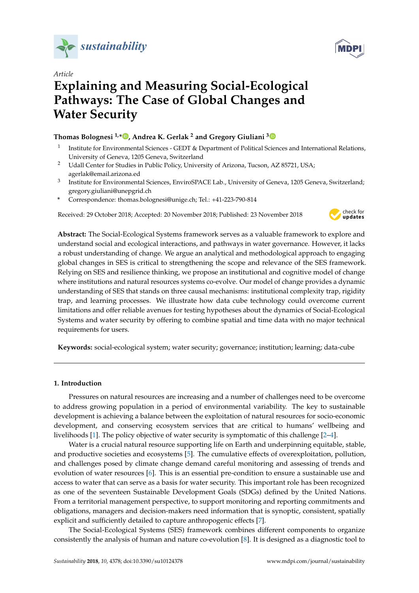



# *Article* **Explaining and Measuring Social-Ecological Pathways: The Case of Global Changes and Water Security**

# **Thomas Bolognesi 1,\* [,](https://orcid.org/0000-0003-1613-5789) Andrea K. Gerlak <sup>2</sup> and Gregory Giuliani [3](https://orcid.org/0000-0002-1825-8865)**

- 1 Institute for Environmental Sciences - GEDT & Department of Political Sciences and International Relations, University of Geneva, 1205 Geneva, Switzerland
- <sup>2</sup> Udall Center for Studies in Public Policy, University of Arizona, Tucson, AZ 85721, USA; agerlak@email.arizona.ed
- 3 Institute for Environmental Sciences, EnviroSPACE Lab., University of Geneva, 1205 Geneva, Switzerland; gregory.giuliani@unepgrid.ch
- **\*** Correspondence: thomas.bolognesi@unige.ch; Tel.: +41-223-790-814

Received: 29 October 2018; Accepted: 20 November 2018; Published: 23 November 2018



**Abstract:** The Social-Ecological Systems framework serves as a valuable framework to explore and understand social and ecological interactions, and pathways in water governance. However, it lacks a robust understanding of change. We argue an analytical and methodological approach to engaging global changes in SES is critical to strengthening the scope and relevance of the SES framework. Relying on SES and resilience thinking, we propose an institutional and cognitive model of change where institutions and natural resources systems co-evolve. Our model of change provides a dynamic understanding of SES that stands on three causal mechanisms: institutional complexity trap, rigidity trap, and learning processes. We illustrate how data cube technology could overcome current limitations and offer reliable avenues for testing hypotheses about the dynamics of Social-Ecological Systems and water security by offering to combine spatial and time data with no major technical requirements for users.

**Keywords:** social-ecological system; water security; governance; institution; learning; data-cube

## **1. Introduction**

Pressures on natural resources are increasing and a number of challenges need to be overcome to address growing population in a period of environmental variability. The key to sustainable development is achieving a balance between the exploitation of natural resources for socio-economic development, and conserving ecosystem services that are critical to humans' wellbeing and livelihoods [\[1\]](#page-15-0). The policy objective of water security is symptomatic of this challenge [\[2](#page-15-1)[–4\]](#page-15-2).

Water is a crucial natural resource supporting life on Earth and underpinning equitable, stable, and productive societies and ecosystems [\[5\]](#page-15-3). The cumulative effects of overexploitation, pollution, and challenges posed by climate change demand careful monitoring and assessing of trends and evolution of water resources [\[6\]](#page-15-4). This is an essential pre-condition to ensure a sustainable use and access to water that can serve as a basis for water security. This important role has been recognized as one of the seventeen Sustainable Development Goals (SDGs) defined by the United Nations. From a territorial management perspective, to support monitoring and reporting commitments and obligations, managers and decision-makers need information that is synoptic, consistent, spatially explicit and sufficiently detailed to capture anthropogenic effects [\[7\]](#page-15-5).

The Social-Ecological Systems (SES) framework combines different components to organize consistently the analysis of human and nature co-evolution [\[8\]](#page-16-0). It is designed as a diagnostic tool to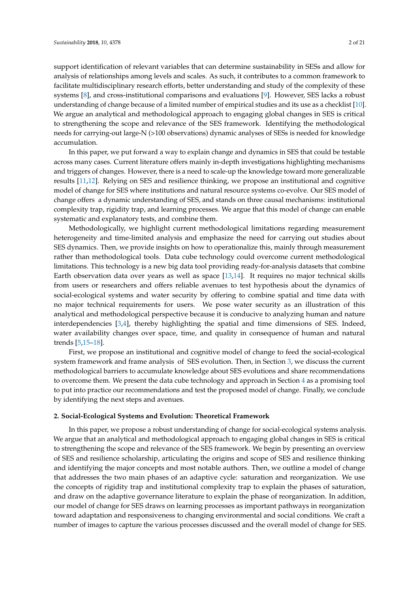support identification of relevant variables that can determine sustainability in SESs and allow for analysis of relationships among levels and scales. As such, it contributes to a common framework to facilitate multidisciplinary research efforts, better understanding and study of the complexity of these systems [\[8\]](#page-16-0), and cross-institutional comparisons and evaluations [\[9\]](#page-16-1). However, SES lacks a robust understanding of change because of a limited number of empirical studies and its use as a checklist [\[10\]](#page-16-2). We argue an analytical and methodological approach to engaging global changes in SES is critical to strengthening the scope and relevance of the SES framework. Identifying the methodological needs for carrying-out large-N (>100 observations) dynamic analyses of SESs is needed for knowledge accumulation.

In this paper, we put forward a way to explain change and dynamics in SES that could be testable across many cases. Current literature offers mainly in-depth investigations highlighting mechanisms and triggers of changes. However, there is a need to scale-up the knowledge toward more generalizable results [\[11](#page-16-3)[,12\]](#page-16-4). Relying on SES and resilience thinking, we propose an institutional and cognitive model of change for SES where institutions and natural resource systems co-evolve. Our SES model of change offers a dynamic understanding of SES, and stands on three causal mechanisms: institutional complexity trap, rigidity trap, and learning processes. We argue that this model of change can enable systematic and explanatory tests, and combine them.

Methodologically, we highlight current methodological limitations regarding measurement heterogeneity and time-limited analysis and emphasize the need for carrying out studies about SES dynamics. Then, we provide insights on how to operationalize this, mainly through measurement rather than methodological tools. Data cube technology could overcome current methodological limitations. This technology is a new big data tool providing ready-for-analysis datasets that combine Earth observation data over years as well as space [\[13](#page-16-5)[,14\]](#page-16-6). It requires no major technical skills from users or researchers and offers reliable avenues to test hypothesis about the dynamics of social-ecological systems and water security by offering to combine spatial and time data with no major technical requirements for users. We pose water security as an illustration of this analytical and methodological perspective because it is conducive to analyzing human and nature interdependencies [\[3,](#page-15-6)[4\]](#page-15-2), thereby highlighting the spatial and time dimensions of SES. Indeed, water availability changes over space, time, and quality in consequence of human and natural trends [\[5,](#page-15-3)[15–](#page-16-7)[18\]](#page-16-8).

First, we propose an institutional and cognitive model of change to feed the social-ecological system framework and frame analysis of SES evolution. Then, in Section [3,](#page-7-0) we discuss the current methodological barriers to accumulate knowledge about SES evolutions and share recommendations to overcome them. We present the data cube technology and approach in Section [4](#page-10-0) as a promising tool to put into practice our recommendations and test the proposed model of change. Finally, we conclude by identifying the next steps and avenues.

#### <span id="page-1-0"></span>**2. Social-Ecological Systems and Evolution: Theoretical Framework**

In this paper, we propose a robust understanding of change for social-ecological systems analysis. We argue that an analytical and methodological approach to engaging global changes in SES is critical to strengthening the scope and relevance of the SES framework. We begin by presenting an overview of SES and resilience scholarship, articulating the origins and scope of SES and resilience thinking and identifying the major concepts and most notable authors. Then, we outline a model of change that addresses the two main phases of an adaptive cycle: saturation and reorganization. We use the concepts of rigidity trap and institutional complexity trap to explain the phases of saturation, and draw on the adaptive governance literature to explain the phase of reorganization. In addition, our model of change for SES draws on learning processes as important pathways in reorganization toward adaptation and responsiveness to changing environmental and social conditions. We craft a number of images to capture the various processes discussed and the overall model of change for SES.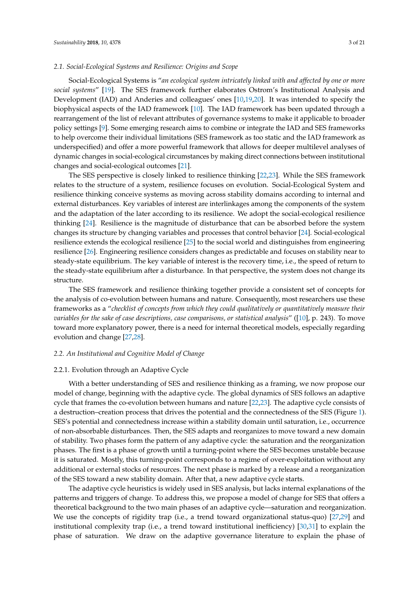Social-Ecological Systems is "*an ecological system intricately linked with and affected by one or more social systems*" [\[19\]](#page-16-9). The SES framework further elaborates Ostrom's Institutional Analysis and Development (IAD) and Anderies and colleagues' ones [\[10,](#page-16-2)[19](#page-16-9)[,20\]](#page-16-10). It was intended to specify the biophysical aspects of the IAD framework [\[10\]](#page-16-2). The IAD framework has been updated through a rearrangement of the list of relevant attributes of governance systems to make it applicable to broader policy settings [\[9\]](#page-16-1). Some emerging research aims to combine or integrate the IAD and SES frameworks to help overcome their individual limitations (SES framework as too static and the IAD framework as underspecified) and offer a more powerful framework that allows for deeper multilevel analyses of dynamic changes in social-ecological circumstances by making direct connections between institutional changes and social-ecological outcomes [\[21\]](#page-16-11).

The SES perspective is closely linked to resilience thinking [\[22](#page-16-12)[,23\]](#page-16-13). While the SES framework relates to the structure of a system, resilience focuses on evolution. Social-Ecological System and resilience thinking conceive systems as moving across stability domains according to internal and external disturbances. Key variables of interest are interlinkages among the components of the system and the adaptation of the later according to its resilience. We adopt the social-ecological resilience thinking [\[24\]](#page-16-14). Resilience is the magnitude of disturbance that can be absorbed before the system changes its structure by changing variables and processes that control behavior [\[24\]](#page-16-14). Social-ecological resilience extends the ecological resilience [\[25\]](#page-16-15) to the social world and distinguishes from engineering resilience [\[26\]](#page-16-16). Engineering resilience considers changes as predictable and focuses on stability near to steady-state equilibrium. The key variable of interest is the recovery time, i.e., the speed of return to the steady-state equilibrium after a disturbance. In that perspective, the system does not change its structure.

The SES framework and resilience thinking together provide a consistent set of concepts for the analysis of co-evolution between humans and nature. Consequently, most researchers use these frameworks as a "*checklist of concepts from which they could qualitatively or quantitatively measure their variables for the sake of case descriptions, case comparisons, or statistical analysis*" ([\[10\]](#page-16-2), p. 243). To move toward more explanatory power, there is a need for internal theoretical models, especially regarding evolution and change [\[27,](#page-16-17)[28\]](#page-16-18).

## *2.2. An Institutional and Cognitive Model of Change*

#### 2.2.1. Evolution through an Adaptive Cycle

With a better understanding of SES and resilience thinking as a framing, we now propose our model of change, beginning with the adaptive cycle. The global dynamics of SES follows an adaptive cycle that frames the co-evolution between humans and nature [\[22,](#page-16-12)[23\]](#page-16-13). The adaptive cycle consists of a destruction–creation process that drives the potential and the connectedness of the SES (Figure [1\)](#page-3-0). SES's potential and connectedness increase within a stability domain until saturation, i.e., occurrence of non-absorbable disturbances. Then, the SES adapts and reorganizes to move toward a new domain of stability. Two phases form the pattern of any adaptive cycle: the saturation and the reorganization phases. The first is a phase of growth until a turning-point where the SES becomes unstable because it is saturated. Mostly, this turning-point corresponds to a regime of over-exploitation without any additional or external stocks of resources. The next phase is marked by a release and a reorganization of the SES toward a new stability domain. After that, a new adaptive cycle starts.

The adaptive cycle heuristics is widely used in SES analysis, but lacks internal explanations of the patterns and triggers of change. To address this, we propose a model of change for SES that offers a theoretical background to the two main phases of an adaptive cycle—saturation and reorganization. We use the concepts of rigidity trap (i.e., a trend toward organizational status-quo) [\[27,](#page-16-17)[29\]](#page-16-19) and institutional complexity trap (i.e., a trend toward institutional inefficiency) [\[30](#page-17-0)[,31\]](#page-17-1) to explain the phase of saturation. We draw on the adaptive governance literature to explain the phase of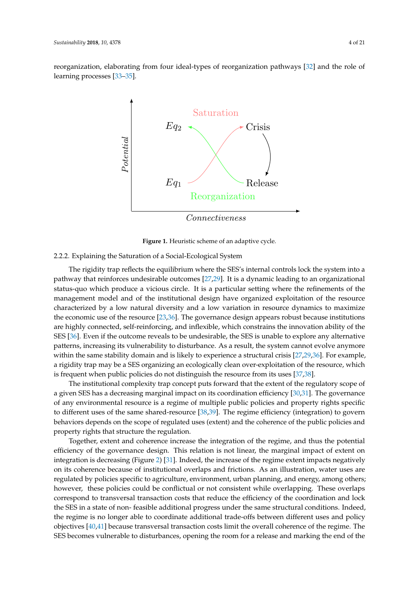<span id="page-3-0"></span>reorganization, elaborating from four ideal-types of reorganization pathways [\[32\]](#page-17-2) and the role of learning processes [\[33](#page-17-3)[–35\]](#page-17-4).



**Figure 1.** Heuristic scheme of an adaptive cycle.

## 2.2.2. Explaining the Saturation of a Social-Ecological System

The rigidity trap reflects the equilibrium where the SES's internal controls lock the system into a pathway that reinforces undesirable outcomes [\[27,](#page-16-17)[29\]](#page-16-19). It is a dynamic leading to an organizational status-quo which produce a vicious circle. It is a particular setting where the refinements of the management model and of the institutional design have organized exploitation of the resource characterized by a low natural diversity and a low variation in resource dynamics to maximize the economic use of the resource [\[23,](#page-16-13)[36\]](#page-17-5). The governance design appears robust because institutions are highly connected, self-reinforcing, and inflexible, which constrains the innovation ability of the SES [\[36\]](#page-17-5). Even if the outcome reveals to be undesirable, the SES is unable to explore any alternative patterns, increasing its vulnerability to disturbance. As a result, the system cannot evolve anymore within the same stability domain and is likely to experience a structural crisis [\[27](#page-16-17)[,29](#page-16-19)[,36\]](#page-17-5). For example, a rigidity trap may be a SES organizing an ecologically clean over-exploitation of the resource, which is frequent when public policies do not distinguish the resource from its uses [\[37,](#page-17-6)[38\]](#page-17-7).

The institutional complexity trap concept puts forward that the extent of the regulatory scope of a given SES has a decreasing marginal impact on its coordination efficiency [\[30,](#page-17-0)[31\]](#page-17-1). The governance of any environmental resource is a regime of multiple public policies and property rights specific to different uses of the same shared-resource [\[38](#page-17-7)[,39\]](#page-17-8). The regime efficiency (integration) to govern behaviors depends on the scope of regulated uses (extent) and the coherence of the public policies and property rights that structure the regulation.

Together, extent and coherence increase the integration of the regime, and thus the potential efficiency of the governance design. This relation is not linear, the marginal impact of extent on integration is decreasing (Figure [2\)](#page-4-0) [\[31\]](#page-17-1). Indeed, the increase of the regime extent impacts negatively on its coherence because of institutional overlaps and frictions. As an illustration, water uses are regulated by policies specific to agriculture, environment, urban planning, and energy, among others; however, these policies could be conflictual or not consistent while overlapping. These overlaps correspond to transversal transaction costs that reduce the efficiency of the coordination and lock the SES in a state of non- feasible additional progress under the same structural conditions. Indeed, the regime is no longer able to coordinate additional trade-offs between different uses and policy objectives [\[40](#page-17-9)[,41\]](#page-17-10) because transversal transaction costs limit the overall coherence of the regime. The SES becomes vulnerable to disturbances, opening the room for a release and marking the end of the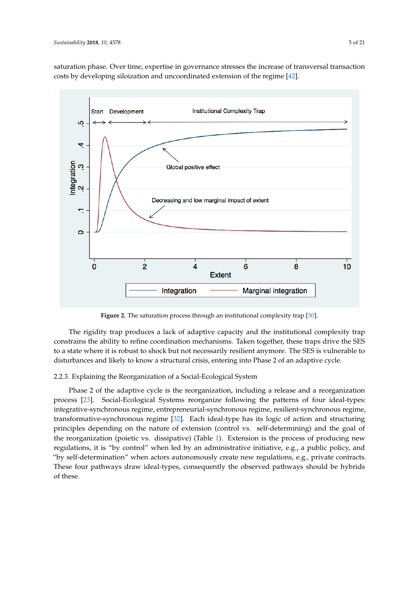saturation phase. Over time, expertise in governance stresses the increase of transversal transaction costs by developing siloization and uncoordinated extension of the regime [\[42\]](#page-17-11).

<span id="page-4-0"></span>

**Figure 2.** The saturation process through an institutional complexity trap [\[30\]](#page-17-0).

The rigidity trap produces a lack of adaptive capacity and the institutional complexity trap constrains the ability to refine coordination mechanisms. Taken together, these traps drive the SES to a state where it is robust to shock but not necessarily resilient anymore. The SES is vulnerable to disturbances and likely to know a structural crisis, entering into Phase 2 of an adaptive cycle.

## 2.2.3. Explaining the Reorganization of a Social-Ecological System

Phase 2 of the adaptive cycle is the reorganization, including a release and a reorganization process [\[23\]](#page-16-13). Social-Ecological Systems reorganize following the patterns of four ideal-types: integrative-synchronous regime, entrepreneurial-synchronous regime, resilient-synchronous regime, transformative-synchronous regime [\[32\]](#page-17-2). Each ideal-type has its logic of action and structuring principles depending on the nature of extension (control vs. self-determining) and the goal of the reorganization (poietic vs. dissipative) (Table [1\)](#page-5-0). Extension is the process of producing new regulations, it is "by control" when led by an administrative initiative, e.g., a public policy, and "by self-determination" when actors autonomously create new regulations, e.g., private contracts. These four pathways draw ideal-types, consequently the observed pathways should be hybrids of these.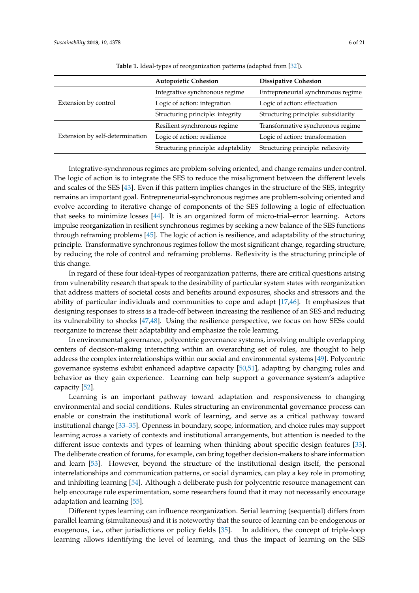<span id="page-5-0"></span>

|                                 | <b>Autopoietic Cohesion</b>         | <b>Dissipative Cohesion</b>         |
|---------------------------------|-------------------------------------|-------------------------------------|
| Extension by control            | Integrative synchronous regime      | Entrepreneurial synchronous regime  |
|                                 | Logic of action: integration        | Logic of action: effectuation       |
|                                 | Structuring principle: integrity    | Structuring principle: subsidiarity |
| Extension by self-determination | Resilient synchronous regime        | Transformative synchronous regime   |
|                                 | Logic of action: resilience         | Logic of action: transformation     |
|                                 | Structuring principle: adaptability | Structuring principle: reflexivity  |

**Table 1.** Ideal-types of reorganization patterns (adapted from [\[32\]](#page-17-2)).

Integrative-synchronous regimes are problem-solving oriented, and change remains under control. The logic of action is to integrate the SES to reduce the misalignment between the different levels and scales of the SES [\[43\]](#page-17-12). Even if this pattern implies changes in the structure of the SES, integrity remains an important goal. Entrepreneurial-synchronous regimes are problem-solving oriented and evolve according to iterative change of components of the SES following a logic of effectuation that seeks to minimize losses [\[44\]](#page-17-13). It is an organized form of micro-trial–error learning. Actors impulse reorganization in resilient synchronous regimes by seeking a new balance of the SES functions through reframing problems [\[45\]](#page-17-14). The logic of action is resilience, and adaptability of the structuring principle. Transformative synchronous regimes follow the most significant change, regarding structure, by reducing the role of control and reframing problems. Reflexivity is the structuring principle of this change.

In regard of these four ideal-types of reorganization patterns, there are critical questions arising from vulnerability research that speak to the desirability of particular system states with reorganization that address matters of societal costs and benefits around exposures, shocks and stressors and the ability of particular individuals and communities to cope and adapt [\[17,](#page-16-20)[46\]](#page-17-15). It emphasizes that designing responses to stress is a trade-off between increasing the resilience of an SES and reducing its vulnerability to shocks [\[47](#page-17-16)[,48\]](#page-17-17). Using the resilience perspective, we focus on how SESs could reorganize to increase their adaptability and emphasize the role learning.

In environmental governance, polycentric governance systems, involving multiple overlapping centers of decision-making interacting within an overarching set of rules, are thought to help address the complex interrelationships within our social and environmental systems [\[49\]](#page-17-18). Polycentric governance systems exhibit enhanced adaptive capacity [\[50](#page-17-19)[,51\]](#page-18-0), adapting by changing rules and behavior as they gain experience. Learning can help support a governance system's adaptive capacity [\[52\]](#page-18-1).

Learning is an important pathway toward adaptation and responsiveness to changing environmental and social conditions. Rules structuring an environmental governance process can enable or constrain the institutional work of learning, and serve as a critical pathway toward institutional change [\[33](#page-17-3)[–35\]](#page-17-4). Openness in boundary, scope, information, and choice rules may support learning across a variety of contexts and institutional arrangements, but attention is needed to the different issue contexts and types of learning when thinking about specific design features [\[33\]](#page-17-3). The deliberate creation of forums, for example, can bring together decision-makers to share information and learn [\[53\]](#page-18-2). However, beyond the structure of the institutional design itself, the personal interrelationships and communication patterns, or social dynamics, can play a key role in promoting and inhibiting learning [\[54\]](#page-18-3). Although a deliberate push for polycentric resource management can help encourage rule experimentation, some researchers found that it may not necessarily encourage adaptation and learning [\[55\]](#page-18-4).

Different types learning can influence reorganization. Serial learning (sequential) differs from parallel learning (simultaneous) and it is noteworthy that the source of learning can be endogenous or exogenous, i.e., other jurisdictions or policy fields [\[35\]](#page-17-4). In addition, the concept of triple-loop learning allows identifying the level of learning, and thus the impact of learning on the SES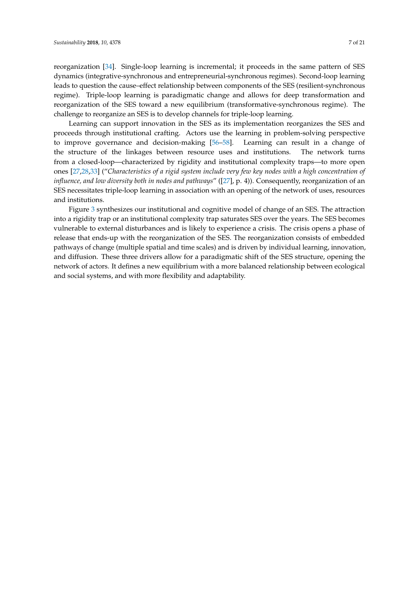reorganization [\[34\]](#page-17-20). Single-loop learning is incremental; it proceeds in the same pattern of SES dynamics (integrative-synchronous and entrepreneurial-synchronous regimes). Second-loop learning leads to question the cause–effect relationship between components of the SES (resilient-synchronous regime). Triple-loop learning is paradigmatic change and allows for deep transformation and reorganization of the SES toward a new equilibrium (transformative-synchronous regime). The challenge to reorganize an SES is to develop channels for triple-loop learning.

Learning can support innovation in the SES as its implementation reorganizes the SES and proceeds through institutional crafting. Actors use the learning in problem-solving perspective to improve governance and decision-making [\[56](#page-18-5)[–58\]](#page-18-6). Learning can result in a change of the structure of the linkages between resource uses and institutions. The network turns from a closed-loop—characterized by rigidity and institutional complexity traps—to more open ones [\[27](#page-16-17)[,28](#page-16-18)[,33\]](#page-17-3) ("*Characteristics of a rigid system include very few key nodes with a high concentration of influence, and low diversity both in nodes and pathways*" ([\[27\]](#page-16-17), p. 4)). Consequently, reorganization of an SES necessitates triple-loop learning in association with an opening of the network of uses, resources and institutions.

Figure [3](#page-7-1) synthesizes our institutional and cognitive model of change of an SES. The attraction into a rigidity trap or an institutional complexity trap saturates SES over the years. The SES becomes vulnerable to external disturbances and is likely to experience a crisis. The crisis opens a phase of release that ends-up with the reorganization of the SES. The reorganization consists of embedded pathways of change (multiple spatial and time scales) and is driven by individual learning, innovation, and diffusion. These three drivers allow for a paradigmatic shift of the SES structure, opening the network of actors. It defines a new equilibrium with a more balanced relationship between ecological and social systems, and with more flexibility and adaptability.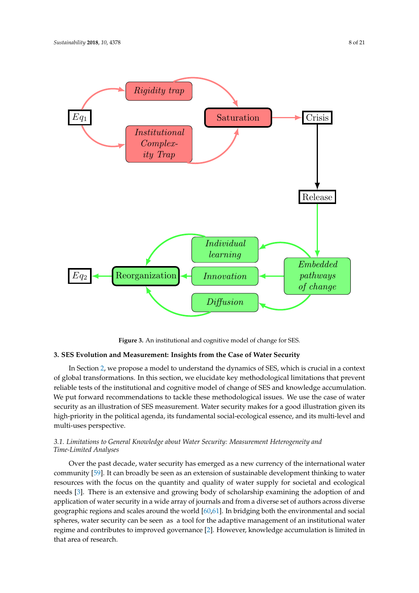<span id="page-7-1"></span>

**Figure 3.** An institutional and cognitive model of change for SES.

#### <span id="page-7-0"></span>**3. SES Evolution and Measurement: Insights from the Case of Water Security**

In Section [2,](#page-1-0) we propose a model to understand the dynamics of SES, which is crucial in a context of global transformations. In this section, we elucidate key methodological limitations that prevent reliable tests of the institutional and cognitive model of change of SES and knowledge accumulation. We put forward recommendations to tackle these methodological issues. We use the case of water security as an illustration of SES measurement. Water security makes for a good illustration given its high-priority in the political agenda, its fundamental social-ecological essence, and its multi-level and multi-uses perspective.

## *3.1. Limitations to General Knowledge about Water Security: Measurement Heterogeneity and Time-Limited Analyses*

Over the past decade, water security has emerged as a new currency of the international water community [\[59\]](#page-18-7). It can broadly be seen as an extension of sustainable development thinking to water resources with the focus on the quantity and quality of water supply for societal and ecological needs [\[3\]](#page-15-6). There is an extensive and growing body of scholarship examining the adoption of and application of water security in a wide array of journals and from a diverse set of authors across diverse geographic regions and scales around the world [\[60](#page-18-8)[,61\]](#page-18-9). In bridging both the environmental and social spheres, water security can be seen as a tool for the adaptive management of an institutional water regime and contributes to improved governance [\[2\]](#page-15-1). However, knowledge accumulation is limited in that area of research.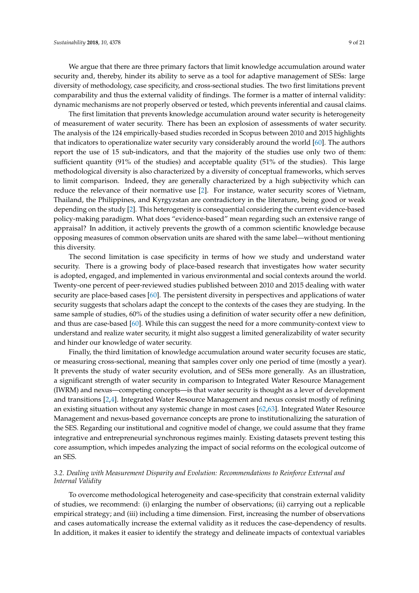We argue that there are three primary factors that limit knowledge accumulation around water security and, thereby, hinder its ability to serve as a tool for adaptive management of SESs: large diversity of methodology, case specificity, and cross-sectional studies. The two first limitations prevent comparability and thus the external validity of findings. The former is a matter of internal validity: dynamic mechanisms are not properly observed or tested, which prevents inferential and causal claims.

The first limitation that prevents knowledge accumulation around water security is heterogeneity of measurement of water security. There has been an explosion of assessments of water security. The analysis of the 124 empirically-based studies recorded in Scopus between 2010 and 2015 highlights that indicators to operationalize water security vary considerably around the world [\[60\]](#page-18-8). The authors report the use of 15 sub-indicators, and that the majority of the studies use only two of them: sufficient quantity (91% of the studies) and acceptable quality (51% of the studies). This large methodological diversity is also characterized by a diversity of conceptual frameworks, which serves to limit comparison. Indeed, they are generally characterized by a high subjectivity which can reduce the relevance of their normative use [\[2\]](#page-15-1). For instance, water security scores of Vietnam, Thailand, the Philippines, and Kyrgyzstan are contradictory in the literature, being good or weak depending on the study [\[2\]](#page-15-1). This heterogeneity is consequential considering the current evidence-based policy-making paradigm. What does "evidence-based" mean regarding such an extensive range of appraisal? In addition, it actively prevents the growth of a common scientific knowledge because opposing measures of common observation units are shared with the same label—without mentioning this diversity.

The second limitation is case specificity in terms of how we study and understand water security. There is a growing body of place-based research that investigates how water security is adopted, engaged, and implemented in various environmental and social contexts around the world. Twenty-one percent of peer-reviewed studies published between 2010 and 2015 dealing with water security are place-based cases [\[60\]](#page-18-8). The persistent diversity in perspectives and applications of water security suggests that scholars adapt the concept to the contexts of the cases they are studying. In the same sample of studies, 60% of the studies using a definition of water security offer a new definition, and thus are case-based [\[60\]](#page-18-8). While this can suggest the need for a more community-context view to understand and realize water security, it might also suggest a limited generalizability of water security and hinder our knowledge of water security.

Finally, the third limitation of knowledge accumulation around water security focuses are static, or measuring cross-sectional, meaning that samples cover only one period of time (mostly a year). It prevents the study of water security evolution, and of SESs more generally. As an illustration, a significant strength of water security in comparison to Integrated Water Resource Management (IWRM) and nexus—competing concepts—is that water security is thought as a lever of development and transitions [\[2,](#page-15-1)[4\]](#page-15-2). Integrated Water Resource Management and nexus consist mostly of refining an existing situation without any systemic change in most cases [\[62,](#page-18-10)[63\]](#page-18-11). Integrated Water Resource Management and nexus-based governance concepts are prone to institutionalizing the saturation of the SES. Regarding our institutional and cognitive model of change, we could assume that they frame integrative and entrepreneurial synchronous regimes mainly. Existing datasets prevent testing this core assumption, which impedes analyzing the impact of social reforms on the ecological outcome of an SES.

## *3.2. Dealing with Measurement Disparity and Evolution: Recommendations to Reinforce External and Internal Validity*

To overcome methodological heterogeneity and case-specificity that constrain external validity of studies, we recommend: (i) enlarging the number of observations; (ii) carrying out a replicable empirical strategy; and (iii) including a time dimension. First, increasing the number of observations and cases automatically increase the external validity as it reduces the case-dependency of results. In addition, it makes it easier to identify the strategy and delineate impacts of contextual variables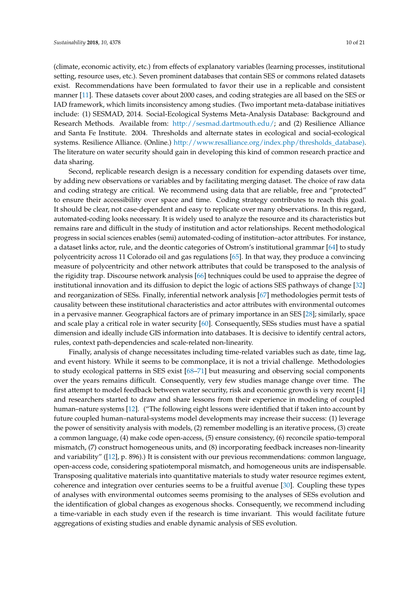(climate, economic activity, etc.) from effects of explanatory variables (learning processes, institutional setting, resource uses, etc.). Seven prominent databases that contain SES or commons related datasets exist. Recommendations have been formulated to favor their use in a replicable and consistent manner [\[11\]](#page-16-3). These datasets cover about 2000 cases, and coding strategies are all based on the SES or IAD framework, which limits inconsistency among studies. (Two important meta-database initiatives include: (1) SESMAD, 2014. Social-Ecological Systems Meta-Analysis Database: Background and Research Methods. Available from: [http://sesmad.dartmouth.edu/;](http://sesmad.dartmouth.edu/) and (2) Resilience Alliance and Santa Fe Institute. 2004. Thresholds and alternate states in ecological and social-ecological systems. Resilience Alliance. (Online.) [http://www.resalliance.org/index.php/thresholds\\_database\).](http://www.resalliance.org/index.php/thresholds_database)) The literature on water security should gain in developing this kind of common research practice and data sharing.

Second, replicable research design is a necessary condition for expending datasets over time, by adding new observations or variables and by facilitating merging dataset. The choice of raw data and coding strategy are critical. We recommend using data that are reliable, free and "protected" to ensure their accessibility over space and time. Coding strategy contributes to reach this goal. It should be clear, not case-dependent and easy to replicate over many observations. In this regard, automated-coding looks necessary. It is widely used to analyze the resource and its characteristics but remains rare and difficult in the study of institution and actor relationships. Recent methodological progress in social sciences enables (semi) automated-coding of institution–actor attributes. For instance, a dataset links actor, rule, and the deontic categories of Ostrom's institutional grammar [\[64\]](#page-18-12) to study polycentricity across 11 Colorado oil and gas regulations [\[65\]](#page-18-13). In that way, they produce a convincing measure of polycentricity and other network attributes that could be transposed to the analysis of the rigidity trap. Discourse network analysis [\[66\]](#page-18-14) techniques could be used to appraise the degree of institutional innovation and its diffusion to depict the logic of actions SES pathways of change [\[32\]](#page-17-2) and reorganization of SESs. Finally, inferential network analysis [\[67\]](#page-18-15) methodologies permit tests of causality between these institutional characteristics and actor attributes with environmental outcomes in a pervasive manner. Geographical factors are of primary importance in an SES [\[28\]](#page-16-18); similarly, space and scale play a critical role in water security [\[60\]](#page-18-8). Consequently, SESs studies must have a spatial dimension and ideally include GIS information into databases. It is decisive to identify central actors, rules, context path-dependencies and scale-related non-linearity.

Finally, analysis of change necessitates including time-related variables such as date, time lag, and event history. While it seems to be commonplace, it is not a trivial challenge. Methodologies to study ecological patterns in SES exist [\[68](#page-18-16)[–71\]](#page-18-17) but measuring and observing social components over the years remains difficult. Consequently, very few studies manage change over time. The first attempt to model feedback between water security, risk and economic growth is very recent [\[4\]](#page-15-2) and researchers started to draw and share lessons from their experience in modeling of coupled human–nature systems [\[12\]](#page-16-4). ("The following eight lessons were identified that if taken into account by future coupled human–natural-systems model developments may increase their success: (1) leverage the power of sensitivity analysis with models, (2) remember modelling is an iterative process, (3) create a common language, (4) make code open-access, (5) ensure consistency, (6) reconcile spatio-temporal mismatch, (7) construct homogeneous units, and (8) incorporating feedback increases non-linearity and variability" ([\[12\]](#page-16-4), p. 896).) It is consistent with our previous recommendations: common language, open-access code, considering spatiotemporal mismatch, and homogeneous units are indispensable. Transposing qualitative materials into quantitative materials to study water resource regimes extent, coherence and integration over centuries seems to be a fruitful avenue [\[30\]](#page-17-0). Coupling these types of analyses with environmental outcomes seems promising to the analyses of SESs evolution and the identification of global changes as exogenous shocks. Consequently, we recommend including a time-variable in each study even if the research is time invariant. This would facilitate future aggregations of existing studies and enable dynamic analysis of SES evolution.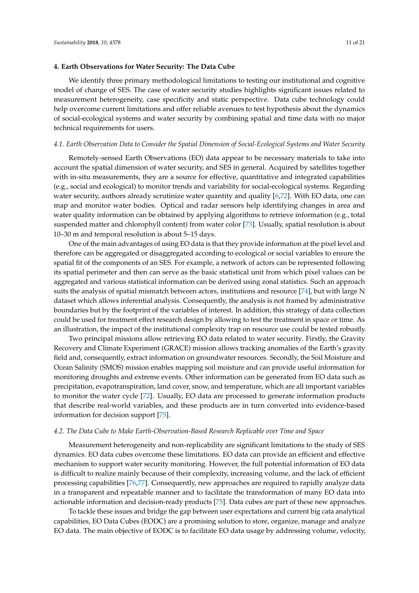## <span id="page-10-0"></span>**4. Earth Observations for Water Security: The Data Cube**

We identify three primary methodological limitations to testing our institutional and cognitive model of change of SES. The case of water security studies highlights significant issues related to measurement heterogeneity, case specificity and static perspective. Data cube technology could help overcome current limitations and offer reliable avenues to test hypothesis about the dynamics of social-ecological systems and water security by combining spatial and time data with no major technical requirements for users.

#### *4.1. Earth Observation Data to Consider the Spatial Dimension of Social-Ecological Systems and Water Security*

Remotely-sensed Earth Observations (EO) data appear to be necessary materials to take into account the spatial dimension of water security, and SES in general. Acquired by satellites together with in-situ measurements, they are a source for effective, quantitative and integrated capabilities (e.g., social and ecological) to monitor trends and variability for social-ecological systems. Regarding water security, authors already scrutinize water quantity and quality [\[6,](#page-15-4)[72\]](#page-18-18). With EO data, one can map and monitor water bodies. Optical and radar sensors help identifying changes in area and water quality information can be obtained by applying algorithms to retrieve information (e.g., total suspended matter and chlorophyll content) from water color [\[73\]](#page-18-19). Usually, spatial resolution is about 10–30 m and temporal resolution is about 5–15 days.

One of the main advantages of using EO data is that they provide information at the pixel level and therefore can be aggregated or disaggregated according to ecological or social variables to ensure the spatial fit of the components of an SES. For example, a network of actors can be represented following its spatial perimeter and then can serve as the basic statistical unit from which pixel values can be aggregated and various statistical information can be derived using zonal statistics. Such an approach suits the analysis of spatial mismatch between actors, institutions and resource [\[74\]](#page-19-0), but with large N dataset which allows inferential analysis. Consequently, the analysis is not framed by administrative boundaries but by the footprint of the variables of interest. In addition, this strategy of data collection could be used for treatment effect research design by allowing to test the treatment in space or time. As an illustration, the impact of the institutional complexity trap on resource use could be tested robustly.

Two principal missions allow retrieving EO data related to water security. Firstly, the Gravity Recovery and Climate Experiment (GRACE) mission allows tracking anomalies of the Earth's gravity field and, consequently, extract information on groundwater resources. Secondly, the Soil Moisture and Ocean Salinity (SMOS) mission enables mapping soil moisture and can provide useful information for monitoring droughts and extreme events. Other information can be generated from EO data such as precipitation, evapotranspiration, land cover, snow, and temperature, which are all important variables to monitor the water cycle [\[72\]](#page-18-18). Usually, EO data are processed to generate information products that describe real-world variables, and these products are in turn converted into evidence-based information for decision support [\[75\]](#page-19-1).

#### *4.2. The Data Cube to Make Earth-Observation-Based Research Replicable over Time and Space*

Measurement heterogeneity and non-replicability are significant limitations to the study of SES dynamics. EO data cubes overcome these limitations. EO data can provide an efficient and effective mechanism to support water security monitoring. However, the full potential information of EO data is difficult to realize mainly because of their complexity, increasing volume, and the lack of efficient processing capabilities [\[76](#page-19-2)[,77\]](#page-19-3). Consequently, new approaches are required to rapidly analyze data in a transparent and repeatable manner and to facilitate the transformation of many EO data into actionable information and decision-ready products [\[75\]](#page-19-1). Data cubes are part of these new approaches.

To tackle these issues and bridge the gap between user expectations and current big cata analytical capabilities, EO Data Cubes (EODC) are a promising solution to store, organize, manage and analyze EO data. The main objective of EODC is to facilitate EO data usage by addressing volume, velocity,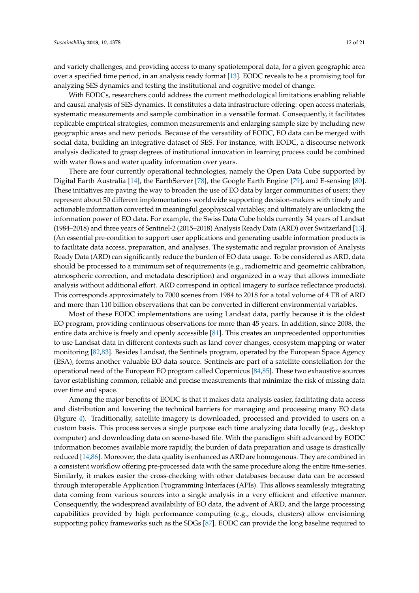and variety challenges, and providing access to many spatiotemporal data, for a given geographic area over a specified time period, in an analysis ready format [\[13\]](#page-16-5). EODC reveals to be a promising tool for analyzing SES dynamics and testing the institutional and cognitive model of change.

With EODCs, researchers could address the current methodological limitations enabling reliable and causal analysis of SES dynamics. It constitutes a data infrastructure offering: open access materials, systematic measurements and sample combination in a versatile format. Consequently, it facilitates replicable empirical strategies, common measurements and enlarging sample size by including new geographic areas and new periods. Because of the versatility of EODC, EO data can be merged with social data, building an integrative dataset of SES. For instance, with EODC, a discourse network analysis dedicated to grasp degrees of institutional innovation in learning process could be combined with water flows and water quality information over years.

There are four currently operational technologies, namely the Open Data Cube supported by Digital Earth Australia [\[14\]](#page-16-6), the EarthServer [\[78\]](#page-19-4), the Google Earth Engine [\[79\]](#page-19-5), and E-sensing [\[80\]](#page-19-6). These initiatives are paving the way to broaden the use of EO data by larger communities of users; they represent about 50 different implementations worldwide supporting decision-makers with timely and actionable information converted in meaningful geophysical variables; and ultimately are unlocking the information power of EO data. For example, the Swiss Data Cube holds currently 34 years of Landsat (1984–2018) and three years of Sentinel-2 (2015–2018) Analysis Ready Data (ARD) over Switzerland [\[13\]](#page-16-5). (An essential pre-condition to support user applications and generating usable information products is to facilitate data access, preparation, and analyses. The systematic and regular provision of Analysis Ready Data (ARD) can significantly reduce the burden of EO data usage. To be considered as ARD, data should be processed to a minimum set of requirements (e.g., radiometric and geometric calibration, atmospheric correction, and metadata description) and organized in a way that allows immediate analysis without additional effort. ARD correspond in optical imagery to surface reflectance products). This corresponds approximately to 7000 scenes from 1984 to 2018 for a total volume of 4 TB of ARD and more than 110 billion observations that can be converted in different environmental variables.

Most of these EODC implementations are using Landsat data, partly because it is the oldest EO program, providing continuous observations for more than 45 years. In addition, since 2008, the entire data archive is freely and openly accessible [\[81\]](#page-19-7). This creates an unprecedented opportunities to use Landsat data in different contexts such as land cover changes, ecosystem mapping or water monitoring [\[82](#page-19-8)[,83\]](#page-19-9). Besides Landsat, the Sentinels program, operated by the European Space Agency (ESA), forms another valuable EO data source. Sentinels are part of a satellite constellation for the operational need of the European EO program called Copernicus [\[84](#page-19-10)[,85\]](#page-19-11). These two exhaustive sources favor establishing common, reliable and precise measurements that minimize the risk of missing data over time and space.

Among the major benefits of EODC is that it makes data analysis easier, facilitating data access and distribution and lowering the technical barriers for managing and processing many EO data (Figure [4\)](#page-12-0). Traditionally, satellite imagery is downloaded, processed and provided to users on a custom basis. This process serves a single purpose each time analyzing data locally (e.g., desktop computer) and downloading data on scene-based file. With the paradigm shift advanced by EODC information becomes available more rapidly, the burden of data preparation and usage is drastically reduced [\[14](#page-16-6)[,86\]](#page-19-12). Moreover, the data quality is enhanced as ARD are homogenous. They are combined in a consistent workflow offering pre-processed data with the same procedure along the entire time-series. Similarly, it makes easier the cross-checking with other databases because data can be accessed through interoperable Application Programming Interfaces (APIs). This allows seamlessly integrating data coming from various sources into a single analysis in a very efficient and effective manner. Consequently, the widespread availability of EO data, the advent of ARD, and the large processing capabilities provided by high performance computing (e.g., clouds, clusters) allow envisioning supporting policy frameworks such as the SDGs [\[87\]](#page-19-13). EODC can provide the long baseline required to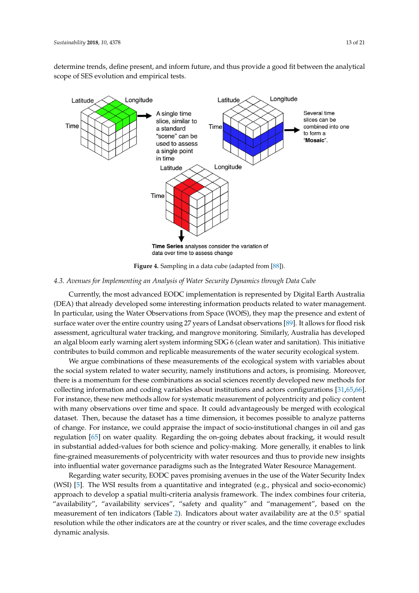determine trends, define present, and inform future, and thus provide a good fit between the analytical scope of SES evolution and empirical tests.

<span id="page-12-0"></span>

Figure 4. Sampling in a data cube (adapted from [\[88\]](#page-19-14)).

## *4.3. Avenues for Implementing an Analysis of Water Security Dynamics through Data Cube*

Currently, the most advanced EODC implementation is represented by Digital Earth Australia (DEA) that already developed some interesting information products related to water management. In particular, using the Water Observations from Space (WOfS), they map the presence and extent of surface water over the entire country using 27 years of Landsat observations [\[89\]](#page-19-15). It allows for flood risk assessment, agricultural water tracking, and mangrove monitoring. Similarly, Australia has developed an algal bloom early warning alert system informing SDG 6 (clean water and sanitation). This initiative contributes to build common and replicable measurements of the water security ecological system.

We argue combinations of these measurements of the ecological system with variables about the social system related to water security, namely institutions and actors, is promising. Moreover, there is a momentum for these combinations as social sciences recently developed new methods for collecting information and coding variables about institutions and actors configurations [\[31,](#page-17-1)[65,](#page-18-13)[66\]](#page-18-14). For instance, these new methods allow for systematic measurement of polycentricity and policy content with many observations over time and space. It could advantageously be merged with ecological dataset. Then, because the dataset has a time dimension, it becomes possible to analyze patterns of change. For instance, we could appraise the impact of socio-institutional changes in oil and gas regulation [\[65\]](#page-18-13) on water quality. Regarding the on-going debates about fracking, it would result in substantial added-values for both science and policy-making. More generally, it enables to link fine-grained measurements of polycentricity with water resources and thus to provide new insights into influential water governance paradigms such as the Integrated Water Resource Management.

Regarding water security, EODC paves promising avenues in the use of the Water Security Index (WSI) [\[5\]](#page-15-3). The WSI results from a quantitative and integrated (e.g., physical and socio-economic) approach to develop a spatial multi-criteria analysis framework. The index combines four criteria, "availability", "availability services", "safety and quality" and "management", based on the measurement of ten indicators (Table [2\)](#page-13-0). Indicators about water availability are at the 0.5° spatial resolution while the other indicators are at the country or river scales, and the time coverage excludes dynamic analysis.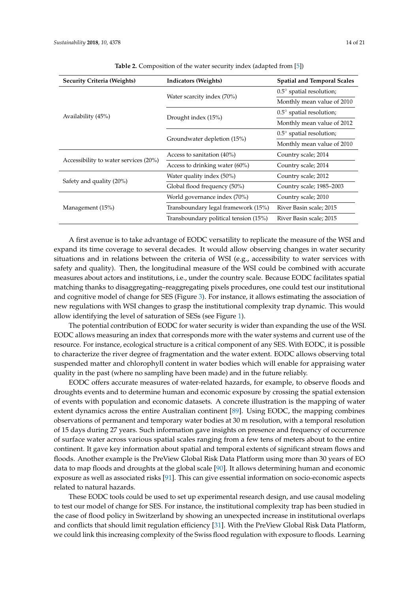<span id="page-13-0"></span>

| Security Criteria (Weights)           | <b>Indicators (Weights)</b>           | <b>Spatial and Temporal Scales</b> |
|---------------------------------------|---------------------------------------|------------------------------------|
| Availability (45%)                    |                                       | $0.5^{\circ}$ spatial resolution;  |
|                                       | Water scarcity index (70%)            | Monthly mean value of 2010         |
|                                       |                                       | $0.5^{\circ}$ spatial resolution;  |
|                                       | Drought index (15%)                   | Monthly mean value of 2012         |
|                                       | Groundwater depletion (15%)           | $0.5^{\circ}$ spatial resolution;  |
|                                       |                                       | Monthly mean value of 2010         |
| Accessibility to water services (20%) | Access to sanitation (40%)            | Country scale; 2014                |
|                                       | Access to drinking water (60%)        | Country scale; 2014                |
| Safety and quality (20%)              | Water quality index (50%)             | Country scale; 2012                |
|                                       | Global flood frequency (50%)          | Country scale; 1985-2003           |
| Management (15%)                      | World governance index (70%)          | Country scale; 2010                |
|                                       | Transboundary legal framework (15%)   | River Basin scale; 2015            |
|                                       | Transboundary political tension (15%) | River Basin scale; 2015            |

**Table 2.** Composition of the water security index (adapted from [\[5\]](#page-15-3))

A first avenue is to take advantage of EODC versatility to replicate the measure of the WSI and expand its time coverage to several decades. It would allow observing changes in water security situations and in relations between the criteria of WSI (e.g., accessibility to water services with safety and quality). Then, the longitudinal measure of the WSI could be combined with accurate measures about actors and institutions, i.e., under the country scale. Because EODC facilitates spatial matching thanks to disaggregating–reaggregating pixels procedures, one could test our institutional and cognitive model of change for SES (Figure [3\)](#page-7-1). For instance, it allows estimating the association of new regulations with WSI changes to grasp the institutional complexity trap dynamic. This would allow identifying the level of saturation of SESs (see Figure [1\)](#page-3-0).

The potential contribution of EODC for water security is wider than expanding the use of the WSI. EODC allows measuring an index that corresponds more with the water systems and current use of the resource. For instance, ecological structure is a critical component of any SES. With EODC, it is possible to characterize the river degree of fragmentation and the water extent. EODC allows observing total suspended matter and chlorophyll content in water bodies which will enable for appraising water quality in the past (where no sampling have been made) and in the future reliably.

EODC offers accurate measures of water-related hazards, for example, to observe floods and droughts events and to determine human and economic exposure by crossing the spatial extension of events with population and economic datasets. A concrete illustration is the mapping of water extent dynamics across the entire Australian continent [\[89\]](#page-19-15). Using EODC, the mapping combines observations of permanent and temporary water bodies at 30 m resolution, with a temporal resolution of 15 days during 27 years. Such information gave insights on presence and frequency of occurrence of surface water across various spatial scales ranging from a few tens of meters about to the entire continent. It gave key information about spatial and temporal extents of significant stream flows and floods. Another example is the PreView Global Risk Data Platform using more than 30 years of EO data to map floods and droughts at the global scale [\[90\]](#page-19-16). It allows determining human and economic exposure as well as associated risks [\[91\]](#page-20-0). This can give essential information on socio-economic aspects related to natural hazards.

These EODC tools could be used to set up experimental research design, and use causal modeling to test our model of change for SES. For instance, the institutional complexity trap has been studied in the case of flood policy in Switzerland by showing an unexpected increase in institutional overlaps and conflicts that should limit regulation efficiency [\[31\]](#page-17-1). With the PreView Global Risk Data Platform, we could link this increasing complexity of the Swiss flood regulation with exposure to floods. Learning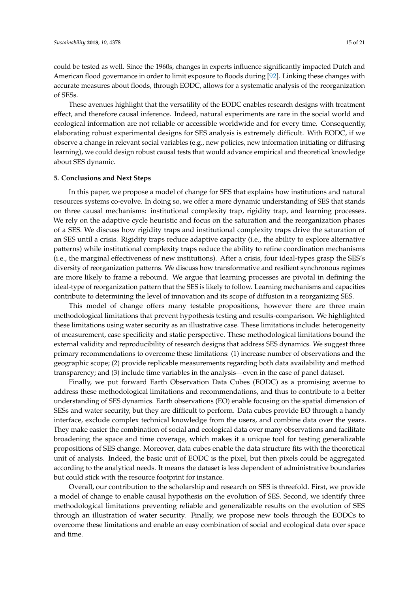could be tested as well. Since the 1960s, changes in experts influence significantly impacted Dutch and American flood governance in order to limit exposure to floods during [\[92\]](#page-20-1). Linking these changes with accurate measures about floods, through EODC, allows for a systematic analysis of the reorganization of SESs.

These avenues highlight that the versatility of the EODC enables research designs with treatment effect, and therefore causal inference. Indeed, natural experiments are rare in the social world and ecological information are not reliable or accessible worldwide and for every time. Consequently, elaborating robust experimental designs for SES analysis is extremely difficult. With EODC, if we observe a change in relevant social variables (e.g., new policies, new information initiating or diffusing learning), we could design robust causal tests that would advance empirical and theoretical knowledge about SES dynamic.

#### **5. Conclusions and Next Steps**

In this paper, we propose a model of change for SES that explains how institutions and natural resources systems co-evolve. In doing so, we offer a more dynamic understanding of SES that stands on three causal mechanisms: institutional complexity trap, rigidity trap, and learning processes. We rely on the adaptive cycle heuristic and focus on the saturation and the reorganization phases of a SES. We discuss how rigidity traps and institutional complexity traps drive the saturation of an SES until a crisis. Rigidity traps reduce adaptive capacity (i.e., the ability to explore alternative patterns) while institutional complexity traps reduce the ability to refine coordination mechanisms (i.e., the marginal effectiveness of new institutions). After a crisis, four ideal-types grasp the SES's diversity of reorganization patterns. We discuss how transformative and resilient synchronous regimes are more likely to frame a rebound. We argue that learning processes are pivotal in defining the ideal-type of reorganization pattern that the SES is likely to follow. Learning mechanisms and capacities contribute to determining the level of innovation and its scope of diffusion in a reorganizing SES.

This model of change offers many testable propositions, however there are three main methodological limitations that prevent hypothesis testing and results-comparison. We highlighted these limitations using water security as an illustrative case. These limitations include: heterogeneity of measurement, case specificity and static perspective. These methodological limitations bound the external validity and reproducibility of research designs that address SES dynamics. We suggest three primary recommendations to overcome these limitations: (1) increase number of observations and the geographic scope; (2) provide replicable measurements regarding both data availability and method transparency; and (3) include time variables in the analysis—even in the case of panel dataset.

Finally, we put forward Earth Observation Data Cubes (EODC) as a promising avenue to address these methodological limitations and recommendations, and thus to contribute to a better understanding of SES dynamics. Earth observations (EO) enable focusing on the spatial dimension of SESs and water security, but they are difficult to perform. Data cubes provide EO through a handy interface, exclude complex technical knowledge from the users, and combine data over the years. They make easier the combination of social and ecological data over many observations and facilitate broadening the space and time coverage, which makes it a unique tool for testing generalizable propositions of SES change. Moreover, data cubes enable the data structure fits with the theoretical unit of analysis. Indeed, the basic unit of EODC is the pixel, but then pixels could be aggregated according to the analytical needs. It means the dataset is less dependent of administrative boundaries but could stick with the resource footprint for instance.

Overall, our contribution to the scholarship and research on SES is threefold. First, we provide a model of change to enable causal hypothesis on the evolution of SES. Second, we identify three methodological limitations preventing reliable and generalizable results on the evolution of SES through an illustration of water security. Finally, we propose new tools through the EODCs to overcome these limitations and enable an easy combination of social and ecological data over space and time.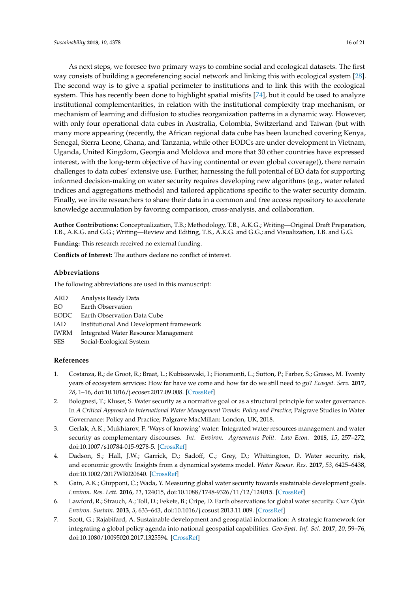As next steps, we foresee two primary ways to combine social and ecological datasets. The first way consists of building a georeferencing social network and linking this with ecological system [\[28\]](#page-16-18). The second way is to give a spatial perimeter to institutions and to link this with the ecological system. This has recently been done to highlight spatial misfits [\[74\]](#page-19-0), but it could be used to analyze institutional complementarities, in relation with the institutional complexity trap mechanism, or mechanism of learning and diffusion to studies reorganization patterns in a dynamic way. However, with only four operational data cubes in Australia, Colombia, Switzerland and Taiwan (but with many more appearing (recently, the African regional data cube has been launched covering Kenya, Senegal, Sierra Leone, Ghana, and Tanzania, while other EODCs are under development in Vietnam, Uganda, United Kingdom, Georgia and Moldova and more that 30 other countries have expressed interest, with the long-term objective of having continental or even global coverage)), there remain challenges to data cubes' extensive use. Further, harnessing the full potential of EO data for supporting informed decision-making on water security requires developing new algorithms (e.g., water related indices and aggregations methods) and tailored applications specific to the water security domain. Finally, we invite researchers to share their data in a common and free access repository to accelerate knowledge accumulation by favoring comparison, cross-analysis, and collaboration.

**Author Contributions:** Conceptualization, T.B.; Methodology, T.B., A.K.G.; Writing—Original Draft Preparation, T.B., A.K.G. and G.G.; Writing—Review and Editing, T.B., A.K.G. and G.G.; and Visualization, T.B. and G.G.

**Funding:** This research received no external funding.

**Conflicts of Interest:** The authors declare no conflict of interest.

## **Abbreviations**

The following abbreviations are used in this manuscript:

- ARD Analysis Ready Data
- EO Earth Observation
- EODC Earth Observation Data Cube
- IAD Institutional And Development framework
- IWRM Integrated Water Resource Management
- SES Social-Ecological System

## **References**

- <span id="page-15-0"></span>1. Costanza, R.; de Groot, R.; Braat, L.; Kubiszewski, I.; Fioramonti, L.; Sutton, P.; Farber, S.; Grasso, M. Twenty years of ecosystem services: How far have we come and how far do we still need to go? *Ecosyst. Serv.* **2017**, *28*, 1–16, doi[:10.1016/j.ecoser.2017.09.008.](https://doi.org/10.1016/j.ecoser.2017.09.008) [\[CrossRef\]](http://dx.doi.org/10.1016/j.ecoser.2017.09.008)
- <span id="page-15-1"></span>2. Bolognesi, T.; Kluser, S. Water security as a normative goal or as a structural principle for water governance. In *A Critical Approach to International Water Management Trends: Policy and Practice*; Palgrave Studies in Water Governance: Policy and Practice; Palgrave MacMillan: London, UK, 2018.
- <span id="page-15-6"></span>3. Gerlak, A.K.; Mukhtarov, F. 'Ways of knowing' water: Integrated water resources management and water security as complementary discourses. *Int. Environ. Agreements Polit. Law Econ.* **2015**, *15*, 257–272, doi[:10.1007/s10784-015-9278-5.](https://doi.org/10.1007/s10784-015-9278-5) [\[CrossRef\]](http://dx.doi.org/10.1007/s10784-015-9278-5)
- <span id="page-15-2"></span>4. Dadson, S.; Hall, J.W.; Garrick, D.; Sadoff, C.; Grey, D.; Whittington, D. Water security, risk, and economic growth: Insights from a dynamical systems model. *Water Resour. Res.* **2017**, *53*, 6425–6438, doi[:10.1002/2017WR020640.](https://doi.org/10.1002/2017WR020640) [\[CrossRef\]](http://dx.doi.org/10.1002/2017WR020640)
- <span id="page-15-3"></span>5. Gain, A.K.; Giupponi, C.; Wada, Y. Measuring global water security towards sustainable development goals. *Environ. Res. Lett.* **2016**, *11*, 124015, doi[:10.1088/1748-9326/11/12/124015.](https://doi.org/10.1088/1748-9326/11/12/124015) [\[CrossRef\]](http://dx.doi.org/10.1088/1748-9326/11/12/124015)
- <span id="page-15-4"></span>6. Lawford, R.; Strauch, A.; Toll, D.; Fekete, B.; Cripe, D. Earth observations for global water security. *Curr. Opin. Environ. Sustain.* **2013**, *5*, 633–643, doi[:10.1016/j.cosust.2013.11.009.](https://doi.org/10.1016/j.cosust.2013.11.009) [\[CrossRef\]](http://dx.doi.org/10.1016/j.cosust.2013.11.009)
- <span id="page-15-5"></span>7. Scott, G.; Rajabifard, A. Sustainable development and geospatial information: A strategic framework for integrating a global policy agenda into national geospatial capabilities. *Geo-Spat. Inf. Sci.* **2017**, *20*, 59–76, doi[:10.1080/10095020.2017.1325594.](https://doi.org/10.1080/10095020.2017.1325594) [\[CrossRef\]](http://dx.doi.org/10.1080/10095020.2017.1325594)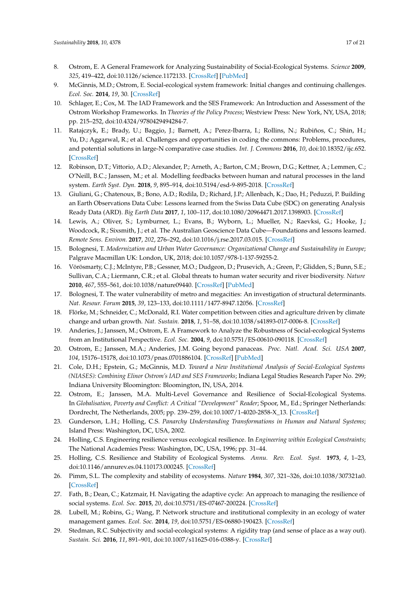- <span id="page-16-0"></span>8. Ostrom, E. A General Framework for Analyzing Sustainability of Social-Ecological Systems. *Science* **2009**, *325*, 419–422, doi[:10.1126/science.1172133.](https://doi.org/10.1126/science.1172133) [\[CrossRef\]](http://dx.doi.org/10.1126/science.1172133) [\[PubMed\]](http://www.ncbi.nlm.nih.gov/pubmed/19628857)
- <span id="page-16-1"></span>9. McGinnis, M.D.; Ostrom, E. Social-ecological system framework: Initial changes and continuing challenges. *Ecol. Soc.* **2014**, *19*, 30. [\[CrossRef\]](http://dx.doi.org/10.5751/ES-06387-190230)
- <span id="page-16-2"></span>10. Schlager, E.; Cox, M. The IAD Framework and the SES Framework: An Introduction and Assessment of the Ostrom Workshop Frameworks. In *Theories of the Policy Process*; Westview Press: New York, NY, USA, 2018; pp. 215–252, doi[:10.4324/9780429494284-7.](https://doi.org/10.4324/9780429494284-7)
- <span id="page-16-3"></span>11. Ratajczyk, E.; Brady, U.; Baggio, J.; Barnett, A.; Perez-Ibarra, I.; Rollins, N.; Rubiños, C.; Shin, H.; Yu, D.; Aggarwal, R.; et al. Challenges and opportunities in coding the commons: Problems, procedures, and potential solutions in large-N comparative case studies. *Int. J. Commons* **2016**, *10*, doi[:10.18352/ijc.652.](https://doi.org/10.18352/ijc.652) [\[CrossRef\]](http://dx.doi.org/10.18352/ijc.652)
- <span id="page-16-4"></span>12. Robinson, D.T.; Vittorio, A.D.; Alexander, P.; Arneth, A.; Barton, C.M.; Brown, D.G.; Kettner, A.; Lemmen, C.; O'Neill, B.C.; Janssen, M.; et al. Modelling feedbacks between human and natural processes in the land system. *Earth Syst. Dyn.* **2018**, *9*, 895–914, doi[:10.5194/esd-9-895-2018.](https://doi.org/https://doi.org/10.5194/esd-9-895-2018) [\[CrossRef\]](http://dx.doi.org/10.5194/esd-9-895-2018)
- <span id="page-16-5"></span>13. Giuliani, G.; Chatenoux, B.; Bono, A.D.; Rodila, D.; Richard, J.P.; Allenbach, K.; Dao, H.; Peduzzi, P. Building an Earth Observations Data Cube: Lessons learned from the Swiss Data Cube (SDC) on generating Analysis Ready Data (ARD). *Big Earth Data* **2017**, *1*, 100–117, doi[:10.1080/20964471.2017.1398903.](https://doi.org/10.1080/20964471.2017.1398903) [\[CrossRef\]](http://dx.doi.org/10.1080/20964471.2017.1398903)
- <span id="page-16-6"></span>14. Lewis, A.; Oliver, S.; Lymburner, L.; Evans, B.; Wyborn, L.; Mueller, N.; Raevksi, G.; Hooke, J.; Woodcock, R.; Sixsmith, J.; et al. The Australian Geoscience Data Cube—Foundations and lessons learned. *Remote Sens. Environ.* **2017**, *202*, 276–292, doi[:10.1016/j.rse.2017.03.015.](https://doi.org/10.1016/j.rse.2017.03.015) [\[CrossRef\]](http://dx.doi.org/10.1016/j.rse.2017.03.015)
- <span id="page-16-7"></span>15. Bolognesi, T. *Modernization and Urban Water Governance: Organizational Change and Sustainability in Europe*; Palgrave Macmillan UK: London, UK, 2018; doi[:10.1057/978-1-137-59255-2.](https://doi.org/10.1057/978-1-137-59255-2)
- 16. Vörösmarty, C.J.; McIntyre, P.B.; Gessner, M.O.; Dudgeon, D.; Prusevich, A.; Green, P.; Glidden, S.; Bunn, S.E.; Sullivan, C.A.; Liermann, C.R.; et al. Global threats to human water security and river biodiversity. *Nature* **2010**, *467*, 555–561, doi[:10.1038/nature09440.](https://doi.org/10.1038/nature09440) [\[CrossRef\]](http://dx.doi.org/10.1038/nature09440) [\[PubMed\]](http://www.ncbi.nlm.nih.gov/pubmed/20882010)
- <span id="page-16-20"></span>17. Bolognesi, T. The water vulnerability of metro and megacities: An investigation of structural determinants. *Nat. Resour. Forum* **2015**, *39*, 123–133, doi[:10.1111/1477-8947.12056.](https://doi.org/10.1111/1477-8947.12056) [\[CrossRef\]](http://dx.doi.org/10.1111/1477-8947.12056)
- <span id="page-16-8"></span>18. Flörke, M.; Schneider, C.; McDonald, R.I. Water competition between cities and agriculture driven by climate change and urban growth. *Nat. Sustain.* **2018**, *1*, 51–58, doi[:10.1038/s41893-017-0006-8.](https://doi.org/10.1038/s41893-017-0006-8) [\[CrossRef\]](http://dx.doi.org/10.1038/s41893-017-0006-8)
- <span id="page-16-9"></span>19. Anderies, J.; Janssen, M.; Ostrom, E. A Framework to Analyze the Robustness of Social-ecological Systems from an Institutional Perspective. *Ecol. Soc.* **2004**, *9*, doi[:10.5751/ES-00610-090118.](https://doi.org/10.5751/ES-00610-090118) [\[CrossRef\]](http://dx.doi.org/10.5751/ES-00610-090118)
- <span id="page-16-10"></span>20. Ostrom, E.; Janssen, M.A.; Anderies, J.M. Going beyond panaceas. *Proc. Natl. Acad. Sci. USA* **2007**, *104*, 15176–15178, doi[:10.1073/pnas.0701886104.](https://doi.org/10.1073/pnas.0701886104) [\[CrossRef\]](http://dx.doi.org/10.1073/pnas.0701886104) [\[PubMed\]](http://www.ncbi.nlm.nih.gov/pubmed/17881583)
- <span id="page-16-11"></span>21. Cole, D.H.; Epstein, G.; McGinnis, M.D. *Toward a New Institutional Analysis of Social-Ecological Systems (NIASES): Combining Elinor Ostrom's IAD and SES Frameworks*; Indiana Legal Studies Research Paper No. 299; Indiana University Bloomington: Bloomington, IN, USA, 2014.
- <span id="page-16-12"></span>22. Ostrom, E.; Janssen, M.A. Multi-Level Governance and Resilience of Social-Ecological Systems. In *Globalisation, Poverty and Conflict: A Critical "Development" Reader*; Spoor, M., Ed.; Springer Netherlands: Dordrecht, The Netherlands, 2005; pp. 239–259, doi[:10.1007/1-4020-2858-X\\_13.](https://doi.org/10.1007/1-4020-2858-X_13) [\[CrossRef\]](http://dx.doi.org/10.1007/1-4020-2858-X_13)
- <span id="page-16-13"></span>23. Gunderson, L.H.; Holling, C.S. *Panarchy Understanding Transformations in Human and Natural Systems*; Island Press: Washington, DC, USA, 2002.
- <span id="page-16-14"></span>24. Holling, C.S. Engineering resilience versus ecological resilience. In *Engineering within Ecological Constraints*; The National Academies Press: Washington, DC, USA, 1996; pp. 31–44.
- <span id="page-16-15"></span>25. Holling, C.S. Resilience and Stability of Ecological Systems. *Annu. Rev. Ecol. Syst.* **1973**, *4*, 1–23, doi[:10.1146/annurev.es.04.110173.000245.](https://doi.org/10.1146/annurev.es.04.110173.000245) [\[CrossRef\]](http://dx.doi.org/10.1146/annurev.es.04.110173.000245)
- <span id="page-16-16"></span>26. Pimm, S.L. The complexity and stability of ecosystems. *Nature* **1984**, *307*, 321–326, doi[:10.1038/307321a0.](https://doi.org/10.1038/307321a0) [\[CrossRef\]](http://dx.doi.org/10.1038/307321a0)
- <span id="page-16-17"></span>27. Fath, B.; Dean, C.; Katzmair, H. Navigating the adaptive cycle: An approach to managing the resilience of social systems. *Ecol. Soc.* **2015**, *20*, doi[:10.5751/ES-07467-200224.](https://doi.org/10.5751/ES-07467-200224) [\[CrossRef\]](http://dx.doi.org/10.5751/ES-07467-200224)
- <span id="page-16-18"></span>28. Lubell, M.; Robins, G.; Wang, P. Network structure and institutional complexity in an ecology of water management games. *Ecol. Soc.* **2014**, *19*, doi[:10.5751/ES-06880-190423.](https://doi.org/10.5751/ES-06880-190423) [\[CrossRef\]](http://dx.doi.org/10.5751/ES-06880-190423)
- <span id="page-16-19"></span>29. Stedman, R.C. Subjectivity and social-ecological systems: A rigidity trap (and sense of place as a way out). *Sustain. Sci.* **2016**, *11*, 891–901, doi[:10.1007/s11625-016-0388-y.](https://doi.org/10.1007/s11625-016-0388-y) [\[CrossRef\]](http://dx.doi.org/10.1007/s11625-016-0388-y)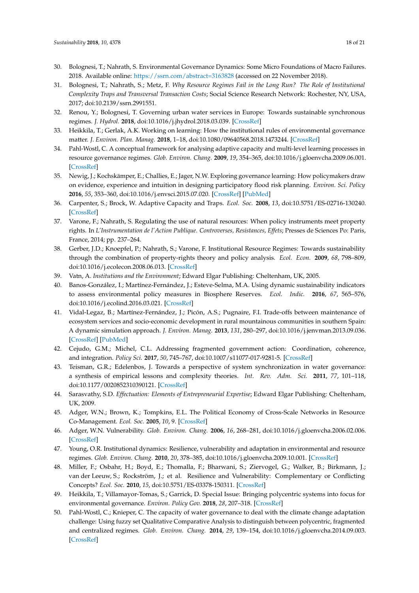- <span id="page-17-0"></span>30. Bolognesi, T.; Nahrath, S. Environmental Governance Dynamics: Some Micro Foundations of Macro Failures. 2018. Available online: <https://ssrn.com/abstract=3163828> (accessed on 22 November 2018).
- <span id="page-17-1"></span>31. Bolognesi, T.; Nahrath, S.; Metz, F. *Why Resource Regimes Fail in the Long Run? The Role of Institutional Complexity Traps and Transversal Transaction Costs*; Social Science Research Network: Rochester, NY, USA, 2017; doi[:10.2139/ssrn.2991551.](https://doi.org/10.2139/ssrn.2991551)
- <span id="page-17-2"></span>32. Renou, Y.; Bolognesi, T. Governing urban water services in Europe: Towards sustainable synchronous regimes. *J. Hydrol.* **2018**, doi[:10.1016/j.jhydrol.2018.03.039.](https://doi.org/10.1016/j.jhydrol.2018.03.039) [\[CrossRef\]](http://dx.doi.org/10.1016/j.jhydrol.2018.03.039)
- <span id="page-17-3"></span>33. Heikkila, T.; Gerlak, A.K. Working on learning: How the institutional rules of environmental governance matter. *J. Environ. Plan. Manag.* **2018**, 1–18, doi[:10.1080/09640568.2018.1473244.](https://doi.org/10.1080/09640568.2018.1473244) [\[CrossRef\]](http://dx.doi.org/10.1080/09640568.2018.1473244)
- <span id="page-17-20"></span>34. Pahl-Wostl, C. A conceptual framework for analysing adaptive capacity and multi-level learning processes in resource governance regimes. *Glob. Environ. Chang.* **2009**, *19*, 354–365, doi[:10.1016/j.gloenvcha.2009.06.001.](https://doi.org/10.1016/j.gloenvcha.2009.06.001) [\[CrossRef\]](http://dx.doi.org/10.1016/j.gloenvcha.2009.06.001)
- <span id="page-17-4"></span>35. Newig, J.; Kochskämper, E.; Challies, E.; Jager, N.W. Exploring governance learning: How policymakers draw on evidence, experience and intuition in designing participatory flood risk planning. *Environ. Sci. Policy* **2016**, *55*, 353–360, doi[:10.1016/j.envsci.2015.07.020.](https://doi.org/10.1016/j.envsci.2015.07.020) [\[CrossRef\]](http://dx.doi.org/10.1016/j.envsci.2015.07.020) [\[PubMed\]](http://www.ncbi.nlm.nih.gov/pubmed/28149198)
- <span id="page-17-5"></span>36. Carpenter, S.; Brock, W. Adaptive Capacity and Traps. *Ecol. Soc.* **2008**, *13*, doi[:10.5751/ES-02716-130240.](https://doi.org/10.5751/ES-02716-130240) [\[CrossRef\]](http://dx.doi.org/10.5751/ES-02716-130240)
- <span id="page-17-6"></span>37. Varone, F.; Nahrath, S. Regulating the use of natural resources: When policy instruments meet property rights. In *L'Instrumentation de l'Action Publique. Controverses, Resistances, Effets*; Presses de Sciences Po: Paris, France, 2014; pp. 237–264.
- <span id="page-17-7"></span>38. Gerber, J.D.; Knoepfel, P.; Nahrath, S.; Varone, F. Institutional Resource Regimes: Towards sustainability through the combination of property-rights theory and policy analysis. *Ecol. Econ.* **2009**, *68*, 798–809, doi[:10.1016/j.ecolecon.2008.06.013.](https://doi.org/10.1016/j.ecolecon.2008.06.013) [\[CrossRef\]](http://dx.doi.org/10.1016/j.ecolecon.2008.06.013)
- <span id="page-17-8"></span>39. Vatn, A. *Institutions and the Environment*; Edward Elgar Publishing: Cheltenham, UK, 2005.
- <span id="page-17-9"></span>40. Banos-González, I.; Martínez-Fernández, J.; Esteve-Selma, M.A. Using dynamic sustainability indicators to assess environmental policy measures in Biosphere Reserves. *Ecol. Indic.* **2016**, *67*, 565–576, doi[:10.1016/j.ecolind.2016.03.021.](https://doi.org/10.1016/j.ecolind.2016.03.021) [\[CrossRef\]](http://dx.doi.org/10.1016/j.ecolind.2016.03.021)
- <span id="page-17-10"></span>41. Vidal-Legaz, B.; Martínez-Fernández, J.; Picón, A.S.; Pugnaire, F.I. Trade-offs between maintenance of ecosystem services and socio-economic development in rural mountainous communities in southern Spain: A dynamic simulation approach. *J. Environ. Manag.* **2013**, *131*, 280–297, doi[:10.1016/j.jenvman.2013.09.036.](https://doi.org/10.1016/j.jenvman.2013.09.036) [\[CrossRef\]](http://dx.doi.org/10.1016/j.jenvman.2013.09.036) [\[PubMed\]](http://www.ncbi.nlm.nih.gov/pubmed/24184530)
- <span id="page-17-11"></span>42. Cejudo, G.M.; Michel, C.L. Addressing fragmented government action: Coordination, coherence, and integration. *Policy Sci.* **2017**, *50*, 745–767, doi[:10.1007/s11077-017-9281-5.](https://doi.org/10.1007/s11077-017-9281-5) [\[CrossRef\]](http://dx.doi.org/10.1007/s11077-017-9281-5)
- <span id="page-17-12"></span>43. Teisman, G.R.; Edelenbos, J. Towards a perspective of system synchronization in water governance: a synthesis of empirical lessons and complexity theories. *Int. Rev. Adm. Sci.* **2011**, *77*, 101–118, doi[:10.1177/0020852310390121.](https://doi.org/10.1177/0020852310390121) [\[CrossRef\]](http://dx.doi.org/10.1177/0020852310390121)
- <span id="page-17-13"></span>44. Sarasvathy, S.D. *Effectuation: Elements of Entrepreneurial Expertise*; Edward Elgar Publishing: Cheltenham, UK, 2009.
- <span id="page-17-14"></span>45. Adger, W.N.; Brown, K.; Tompkins, E.L. The Political Economy of Cross-Scale Networks in Resource Co-Management. *Ecol. Soc.* **2005**, *10*, 9. [\[CrossRef\]](http://dx.doi.org/10.5751/ES-01465-100209)
- <span id="page-17-15"></span>46. Adger, W.N. Vulnerability. *Glob. Environ. Chang.* **2006**, *16*, 268–281, doi[:10.1016/j.gloenvcha.2006.02.006.](https://doi.org/10.1016/j.gloenvcha.2006.02.006) [\[CrossRef\]](http://dx.doi.org/10.1016/j.gloenvcha.2006.02.006)
- <span id="page-17-16"></span>47. Young, O.R. Institutional dynamics: Resilience, vulnerability and adaptation in environmental and resource regimes. *Glob. Environ. Chang.* **2010**, *20*, 378–385, doi[:10.1016/j.gloenvcha.2009.10.001.](https://doi.org/10.1016/j.gloenvcha.2009.10.001) [\[CrossRef\]](http://dx.doi.org/10.1016/j.gloenvcha.2009.10.001)
- <span id="page-17-17"></span>48. Miller, F.; Osbahr, H.; Boyd, E.; Thomalla, F.; Bharwani, S.; Ziervogel, G.; Walker, B.; Birkmann, J.; van der Leeuw, S.; Rockström, J.; et al. Resilience and Vulnerability: Complementary or Conflicting Concepts? *Ecol. Soc.* **2010**, *15*, doi[:10.5751/ES-03378-150311.](https://doi.org/10.5751/ES-03378-150311) [\[CrossRef\]](http://dx.doi.org/10.5751/ES-03378-150311)
- <span id="page-17-18"></span>49. Heikkila, T.; Villamayor-Tomas, S.; Garrick, D. Special Issue: Bringing polycentric systems into focus for environmental governance. *Environ. Policy Gov.* **2018**, *28*, 207–318. [\[CrossRef\]](http://dx.doi.org/10.1002/eet.1809)
- <span id="page-17-19"></span>50. Pahl-Wostl, C.; Knieper, C. The capacity of water governance to deal with the climate change adaptation challenge: Using fuzzy set Qualitative Comparative Analysis to distinguish between polycentric, fragmented and centralized regimes. *Glob. Environ. Chang.* **2014**, *29*, 139–154, doi[:10.1016/j.gloenvcha.2014.09.003.](https://doi.org/10.1016/j.gloenvcha.2014.09.003) [\[CrossRef\]](http://dx.doi.org/10.1016/j.gloenvcha.2014.09.003)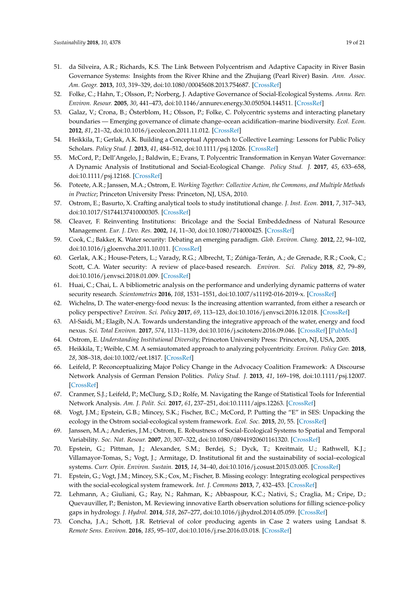- <span id="page-18-0"></span>51. da Silveira, A.R.; Richards, K.S. The Link Between Polycentrism and Adaptive Capacity in River Basin Governance Systems: Insights from the River Rhine and the Zhujiang (Pearl River) Basin. *Ann. Assoc. Am. Geogr.* **2013**, *103*, 319–329, doi[:10.1080/00045608.2013.754687.](https://doi.org/10.1080/00045608.2013.754687) [\[CrossRef\]](http://dx.doi.org/10.1080/00045608.2013.754687)
- <span id="page-18-1"></span>52. Folke, C.; Hahn, T.; Olsson, P.; Norberg, J. Adaptive Governance of Social-Ecological Systems. *Annu. Rev. Environ. Resour.* **2005**, *30*, 441–473, doi[:10.1146/annurev.energy.30.050504.144511.](https://doi.org/10.1146/annurev.energy.30.050504.144511) [\[CrossRef\]](http://dx.doi.org/10.1146/annurev.energy.30.050504.144511)
- <span id="page-18-2"></span>53. Galaz, V.; Crona, B.; Österblom, H.; Olsson, P.; Folke, C. Polycentric systems and interacting planetary boundaries — Emerging governance of climate change–ocean acidification–marine biodiversity. *Ecol. Econ.* **2012**, *81*, 21–32, doi[:10.1016/j.ecolecon.2011.11.012.](https://doi.org/10.1016/j.ecolecon.2011.11.012) [\[CrossRef\]](http://dx.doi.org/10.1016/j.ecolecon.2011.11.012)
- <span id="page-18-3"></span>54. Heikkila, T.; Gerlak, A.K. Building a Conceptual Approach to Collective Learning: Lessons for Public Policy Scholars. *Policy Stud. J.* **2013**, *41*, 484–512, doi[:10.1111/psj.12026.](https://doi.org/10.1111/psj.12026) [\[CrossRef\]](http://dx.doi.org/10.1111/psj.12026)
- <span id="page-18-4"></span>55. McCord, P.; Dell'Angelo, J.; Baldwin, E.; Evans, T. Polycentric Transformation in Kenyan Water Governance: A Dynamic Analysis of Institutional and Social-Ecological Change. *Policy Stud. J.* **2017**, *45*, 633–658, doi[:10.1111/psj.12168.](https://doi.org/10.1111/psj.12168) [\[CrossRef\]](http://dx.doi.org/10.1111/psj.12168)
- <span id="page-18-5"></span>56. Poteete, A.R.; Janssen, M.A.; Ostrom, E. *Working Together: Collective Action, the Commons, and Multiple Methods in Practice*; Princeton University Press: Princeton, NJ, USA, 2010.
- 57. Ostrom, E.; Basurto, X. Crafting analytical tools to study institutional change. *J. Inst. Econ.* **2011**, *7*, 317–343, doi[:10.1017/S1744137410000305.](https://doi.org/10.1017/S1744137410000305) [\[CrossRef\]](http://dx.doi.org/10.1017/S1744137410000305)
- <span id="page-18-6"></span>58. Cleaver, F. Reinventing Institutions: Bricolage and the Social Embeddedness of Natural Resource Management. *Eur. J. Dev. Res.* **2002**, *14*, 11–30, doi[:10.1080/714000425.](https://doi.org/10.1080/714000425) [\[CrossRef\]](http://dx.doi.org/10.1080/714000425)
- <span id="page-18-7"></span>59. Cook, C.; Bakker, K. Water security: Debating an emerging paradigm. *Glob. Environ. Chang.* **2012**, *22*, 94–102, doi[:10.1016/j.gloenvcha.2011.10.011.](https://doi.org/10.1016/j.gloenvcha.2011.10.011) [\[CrossRef\]](http://dx.doi.org/10.1016/j.gloenvcha.2011.10.011)
- <span id="page-18-8"></span>60. Gerlak, A.K.; House-Peters, L.; Varady, R.G.; Albrecht, T.; Zúñiga-Terán, A.; de Grenade, R.R.; Cook, C.; Scott, C.A. Water security: A review of place-based research. *Environ. Sci. Policy* **2018**, *82*, 79–89, doi[:10.1016/j.envsci.2018.01.009.](https://doi.org/10.1016/j.envsci.2018.01.009) [\[CrossRef\]](http://dx.doi.org/10.1016/j.envsci.2018.01.009)
- <span id="page-18-9"></span>61. Huai, C.; Chai, L. A bibliometric analysis on the performance and underlying dynamic patterns of water security research. *Scientometrics* **2016**, *108*, 1531–1551, doi[:10.1007/s11192-016-2019-x.](https://doi.org/10.1007/s11192-016-2019-x) [\[CrossRef\]](http://dx.doi.org/10.1007/s11192-016-2019-x)
- <span id="page-18-10"></span>62. Wichelns, D. The water-energy-food nexus: Is the increasing attention warranted, from either a research or policy perspective? *Environ. Sci. Policy* **2017**, *69*, 113–123, doi[:10.1016/j.envsci.2016.12.018.](https://doi.org/10.1016/j.envsci.2016.12.018) [\[CrossRef\]](http://dx.doi.org/10.1016/j.envsci.2016.12.018)
- <span id="page-18-11"></span>63. Al-Saidi, M.; Elagib, N.A. Towards understanding the integrative approach of the water, energy and food nexus. *Sci. Total Environ.* **2017**, *574*, 1131–1139, doi[:10.1016/j.scitotenv.2016.09.046.](https://doi.org/10.1016/j.scitotenv.2016.09.046) [\[CrossRef\]](http://dx.doi.org/10.1016/j.scitotenv.2016.09.046) [\[PubMed\]](http://www.ncbi.nlm.nih.gov/pubmed/27710905)
- <span id="page-18-12"></span>64. Ostrom, E. *Understanding Institutional Diversity*; Princeton University Press: Princeton, NJ, USA, 2005.
- <span id="page-18-13"></span>65. Heikkila, T.; Weible, C.M. A semiautomated approach to analyzing polycentricity. *Environ. Policy Gov.* **2018**, *28*, 308–318, doi[:10.1002/eet.1817.](https://doi.org/10.1002/eet.1817) [\[CrossRef\]](http://dx.doi.org/10.1002/eet.1817)
- <span id="page-18-14"></span>66. Leifeld, P. Reconceptualizing Major Policy Change in the Advocacy Coalition Framework: A Discourse Network Analysis of German Pension Politics. *Policy Stud. J.* **2013**, *41*, 169–198, doi[:10.1111/psj.12007.](https://doi.org/10.1111/psj.12007) [\[CrossRef\]](http://dx.doi.org/10.1111/psj.12007)
- <span id="page-18-15"></span>67. Cranmer, S.J.; Leifeld, P.; McClurg, S.D.; Rolfe, M. Navigating the Range of Statistical Tools for Inferential Network Analysis. *Am. J. Polit. Sci.* **2017**, *61*, 237–251, doi[:10.1111/ajps.12263.](https://doi.org/10.1111/ajps.12263) [\[CrossRef\]](http://dx.doi.org/10.1111/ajps.12263)
- <span id="page-18-16"></span>68. Vogt, J.M.; Epstein, G.B.; Mincey, S.K.; Fischer, B.C.; McCord, P. Putting the "E" in SES: Unpacking the ecology in the Ostrom social-ecological system framework. *Ecol. Soc.* **2015**, *20*, 55. [\[CrossRef\]](http://dx.doi.org/10.5751/ES-07239-200155)
- 69. Janssen, M.A.; Anderies, J.M.; Ostrom, E. Robustness of Social-Ecological Systems to Spatial and Temporal Variability. *Soc. Nat. Resour.* **2007**, *20*, 307–322, doi[:10.1080/08941920601161320.](https://doi.org/10.1080/08941920601161320) [\[CrossRef\]](http://dx.doi.org/10.1080/08941920601161320)
- 70. Epstein, G.; Pittman, J.; Alexander, S.M.; Berdej, S.; Dyck, T.; Kreitmair, U.; Rathwell, K.J.; Villamayor-Tomas, S.; Vogt, J.; Armitage, D. Institutional fit and the sustainability of social–ecological systems. *Curr. Opin. Environ. Sustain.* **2015**, *14*, 34–40, doi[:10.1016/j.cosust.2015.03.005.](https://doi.org/10.1016/j.cosust.2015.03.005) [\[CrossRef\]](http://dx.doi.org/10.1016/j.cosust.2015.03.005)
- <span id="page-18-17"></span>71. Epstein, G.; Vogt, J.M.; Mincey, S.K.; Cox, M.; Fischer, B. Missing ecology: Integrating ecological perspectives with the social-ecological system framework. *Int. J. Commons* **2013**, *7*, 432–453. [\[CrossRef\]](http://dx.doi.org/10.18352/ijc.371)
- <span id="page-18-18"></span>72. Lehmann, A.; Giuliani, G.; Ray, N.; Rahman, K.; Abbaspour, K.C.; Nativi, S.; Craglia, M.; Cripe, D.; Quevauviller, P.; Beniston, M. Reviewing innovative Earth observation solutions for filling science-policy gaps in hydrology. *J. Hydrol.* **2014**, *518*, 267–277, doi[:10.1016/j.jhydrol.2014.05.059.](https://doi.org/10.1016/j.jhydrol.2014.05.059) [\[CrossRef\]](http://dx.doi.org/10.1016/j.jhydrol.2014.05.059)
- <span id="page-18-19"></span>73. Concha, J.A.; Schott, J.R. Retrieval of color producing agents in Case 2 waters using Landsat 8. *Remote Sens. Environ.* **2016**, *185*, 95–107, doi[:10.1016/j.rse.2016.03.018.](https://doi.org/10.1016/j.rse.2016.03.018) [\[CrossRef\]](http://dx.doi.org/10.1016/j.rse.2016.03.018)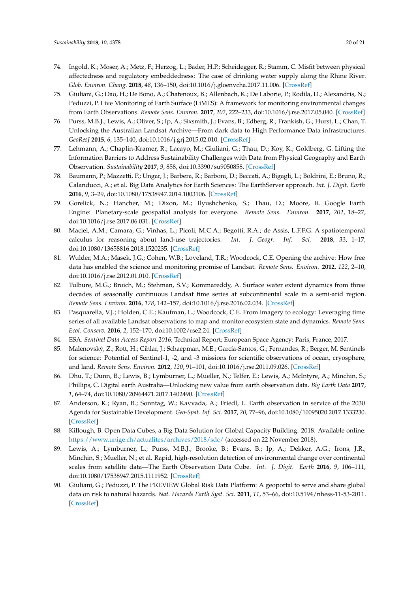- <span id="page-19-0"></span>74. Ingold, K.; Moser, A.; Metz, F.; Herzog, L.; Bader, H.P.; Scheidegger, R.; Stamm, C. Misfit between physical affectedness and regulatory embeddedness: The case of drinking water supply along the Rhine River. *Glob. Environ. Chang.* **2018**, *48*, 136–150, doi[:10.1016/j.gloenvcha.2017.11.006.](https://doi.org/10.1016/j.gloenvcha.2017.11.006) [\[CrossRef\]](http://dx.doi.org/10.1016/j.gloenvcha.2017.11.006)
- <span id="page-19-1"></span>75. Giuliani, G.; Dao, H.; De Bono, A.; Chatenoux, B.; Allenbach, K.; De Laborie, P.; Rodila, D.; Alexandris, N.; Peduzzi, P. Live Monitoring of Earth Surface (LiMES): A framework for monitoring environmental changes from Earth Observations. *Remote Sens. Environ.* **2017**, *202*, 222–233, doi[:10.1016/j.rse.2017.05.040.](https://doi.org/10.1016/j.rse.2017.05.040) [\[CrossRef\]](http://dx.doi.org/10.1016/j.rse.2017.05.040)
- <span id="page-19-2"></span>76. Purss, M.B.J.; Lewis, A.; Oliver, S.; Ip, A.; Sixsmith, J.; Evans, B.; Edberg, R.; Frankish, G.; Hurst, L.; Chan, T. Unlocking the Australian Landsat Archive—From dark data to High Performance Data infrastructures. *GeoResJ* **2015**, *6*, 135–140, doi[:10.1016/j.grj.2015.02.010.](https://doi.org/10.1016/j.grj.2015.02.010) [\[CrossRef\]](http://dx.doi.org/10.1016/j.grj.2015.02.010)
- <span id="page-19-3"></span>77. Lehmann, A.; Chaplin-Kramer, R.; Lacayo, M.; Giuliani, G.; Thau, D.; Koy, K.; Goldberg, G. Lifting the Information Barriers to Address Sustainability Challenges with Data from Physical Geography and Earth Observation. *Sustainability* **2017**, *9*, 858, doi[:10.3390/su9050858.](https://doi.org/10.3390/su9050858) [\[CrossRef\]](http://dx.doi.org/10.3390/su9050858)
- <span id="page-19-4"></span>78. Baumann, P.; Mazzetti, P.; Ungar, J.; Barbera, R.; Barboni, D.; Beccati, A.; Bigagli, L.; Boldrini, E.; Bruno, R.; Calanducci, A.; et al. Big Data Analytics for Earth Sciences: The EarthServer approach. *Int. J. Digit. Earth* **2016**, *9*, 3–29, doi[:10.1080/17538947.2014.1003106.](https://doi.org/10.1080/17538947.2014.1003106) [\[CrossRef\]](http://dx.doi.org/10.1080/17538947.2014.1003106)
- <span id="page-19-5"></span>79. Gorelick, N.; Hancher, M.; Dixon, M.; Ilyushchenko, S.; Thau, D.; Moore, R. Google Earth Engine: Planetary-scale geospatial analysis for everyone. *Remote Sens. Environ.* **2017**, *202*, 18–27, doi[:10.1016/j.rse.2017.06.031.](https://doi.org/10.1016/j.rse.2017.06.031) [\[CrossRef\]](http://dx.doi.org/10.1016/j.rse.2017.06.031)
- <span id="page-19-6"></span>80. Maciel, A.M.; Camara, G.; Vinhas, L.; Picoli, M.C.A.; Begotti, R.A.; de Assis, L.F.F.G. A spatiotemporal calculus for reasoning about land-use trajectories. *Int. J. Geogr. Inf. Sci.* **2018**, *33*, 1–17, doi[:10.1080/13658816.2018.1520235.](https://doi.org/10.1080/13658816.2018.1520235) [\[CrossRef\]](http://dx.doi.org/10.1080/13658816.2018.1520235)
- <span id="page-19-7"></span>81. Wulder, M.A.; Masek, J.G.; Cohen, W.B.; Loveland, T.R.; Woodcock, C.E. Opening the archive: How free data has enabled the science and monitoring promise of Landsat. *Remote Sens. Environ.* **2012**, *122*, 2–10, doi[:10.1016/j.rse.2012.01.010.](https://doi.org/10.1016/j.rse.2012.01.010) [\[CrossRef\]](http://dx.doi.org/10.1016/j.rse.2012.01.010)
- <span id="page-19-8"></span>82. Tulbure, M.G.; Broich, M.; Stehman, S.V.; Kommareddy, A. Surface water extent dynamics from three decades of seasonally continuous Landsat time series at subcontinental scale in a semi-arid region. *Remote Sens. Environ.* **2016**, *178*, 142–157, doi[:10.1016/j.rse.2016.02.034.](https://doi.org/10.1016/j.rse.2016.02.034) [\[CrossRef\]](http://dx.doi.org/10.1016/j.rse.2016.02.034)
- <span id="page-19-9"></span>83. Pasquarella, V.J.; Holden, C.E.; Kaufman, L.; Woodcock, C.E. From imagery to ecology: Leveraging time series of all available Landsat observations to map and monitor ecosystem state and dynamics. *Remote Sens. Ecol. Conserv.* **2016**, *2*, 152–170, doi[:10.1002/rse2.24.](https://doi.org/10.1002/rse2.24) [\[CrossRef\]](http://dx.doi.org/10.1002/rse2.24)
- <span id="page-19-10"></span>84. ESA. *Sentinel Data Access Report 2016*; Technical Report; European Space Agency: Paris, France, 2017.
- <span id="page-19-11"></span>85. Malenovský, Z.; Rott, H.; Cihlar, J.; Schaepman, M.E.; García-Santos, G.; Fernandes, R.; Berger, M. Sentinels for science: Potential of Sentinel-1, -2, and -3 missions for scientific observations of ocean, cryosphere, and land. *Remote Sens. Environ.* **2012**, *120*, 91–101, doi[:10.1016/j.rse.2011.09.026.](https://doi.org/10.1016/j.rse.2011.09.026) [\[CrossRef\]](http://dx.doi.org/10.1016/j.rse.2011.09.026)
- <span id="page-19-12"></span>86. Dhu, T.; Dunn, B.; Lewis, B.; Lymburner, L.; Mueller, N.; Telfer, E.; Lewis, A.; McIntyre, A.; Minchin, S.; Phillips, C. Digital earth Australia—Unlocking new value from earth observation data. *Big Earth Data* **2017**, *1*, 64–74, doi[:10.1080/20964471.2017.1402490.](https://doi.org/10.1080/20964471.2017.1402490) [\[CrossRef\]](http://dx.doi.org/10.1080/20964471.2017.1402490)
- <span id="page-19-13"></span>87. Anderson, K.; Ryan, B.; Sonntag, W.; Kavvada, A.; Friedl, L. Earth observation in service of the 2030 Agenda for Sustainable Development. *Geo-Spat. Inf. Sci.* **2017**, *20*, 77–96, doi[:10.1080/10095020.2017.1333230.](https://doi.org/10.1080/10095020.2017.1333230) [\[CrossRef\]](http://dx.doi.org/10.1080/10095020.2017.1333230)
- <span id="page-19-14"></span>88. Killough, B. Open Data Cubes, a Big Data Solution for Global Capacity Building. 2018. Available online: <https://www.unige.ch/actualites/archives/2018/sdc/> (accessed on 22 November 2018).
- <span id="page-19-15"></span>89. Lewis, A.; Lymburner, L.; Purss, M.B.J.; Brooke, B.; Evans, B.; Ip, A.; Dekker, A.G.; Irons, J.R.; Minchin, S.; Mueller, N.; et al. Rapid, high-resolution detection of environmental change over continental scales from satellite data—The Earth Observation Data Cube. *Int. J. Digit. Earth* **2016**, *9*, 106–111, doi[:10.1080/17538947.2015.1111952.](https://doi.org/10.1080/17538947.2015.1111952) [\[CrossRef\]](http://dx.doi.org/10.1080/17538947.2015.1111952)
- <span id="page-19-16"></span>90. Giuliani, G.; Peduzzi, P. The PREVIEW Global Risk Data Platform: A geoportal to serve and share global data on risk to natural hazards. *Nat. Hazards Earth Syst. Sci.* **2011**, *11*, 53–66, doi[:10.5194/nhess-11-53-2011.](https://doi.org/doi:10.5194/nhess-11-53-2011) [\[CrossRef\]](http://dx.doi.org/10.5194/nhess-11-53-2011)